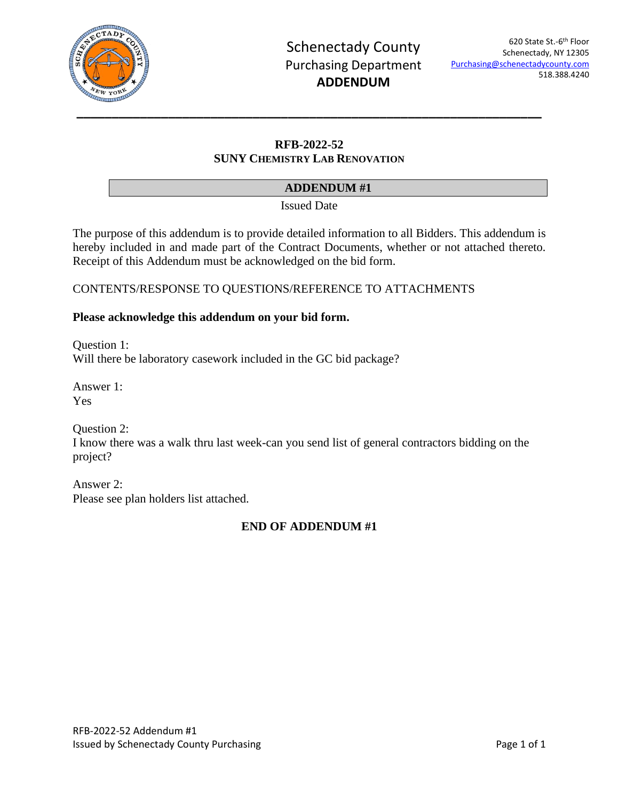

# **RFB-2022-52 SUNY CHEMISTRY LAB RENOVATION**

## **ADDENDUM #1**

Issued Date

The purpose of this addendum is to provide detailed information to all Bidders. This addendum is hereby included in and made part of the Contract Documents, whether or not attached thereto. Receipt of this Addendum must be acknowledged on the bid form.

## CONTENTS/RESPONSE TO QUESTIONS/REFERENCE TO ATTACHMENTS

### **Please acknowledge this addendum on your bid form.**

Question 1: Will there be laboratory casework included in the GC bid package?

Answer 1: Yes

Question 2:

I know there was a walk thru last week-can you send list of general contractors bidding on the project?

Answer 2: Please see plan holders list attached.

# **END OF ADDENDUM #1**